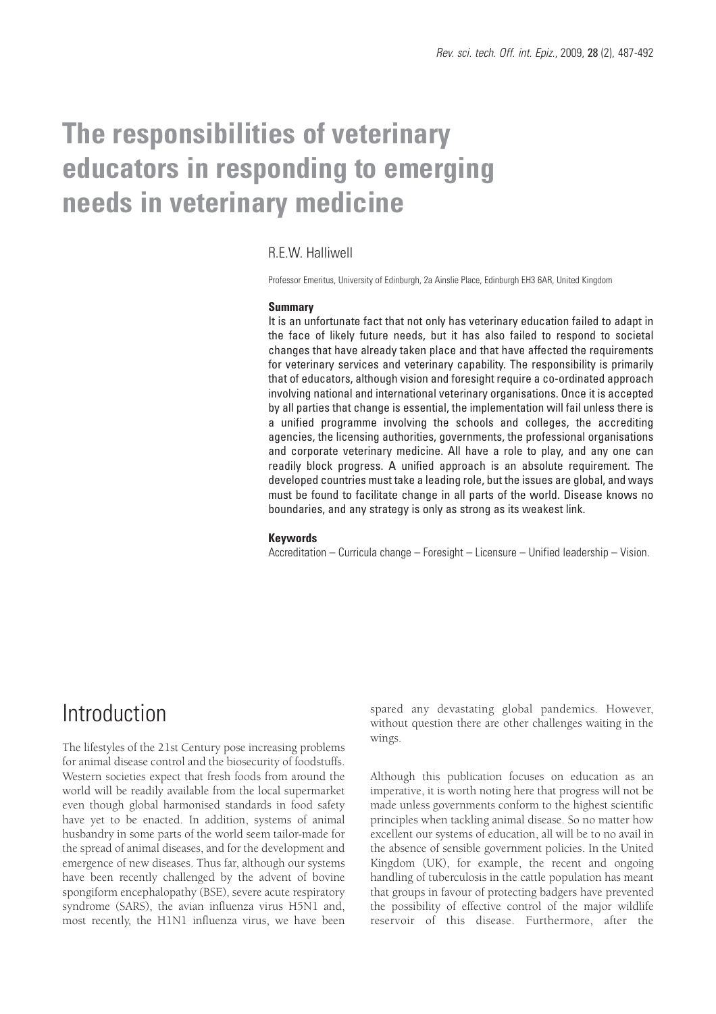# **The responsibilities of veterinary educators in responding to emerging needs in veterinary medicine**

### R.E.W. Halliwell

Professor Emeritus, University of Edinburgh, 2a Ainslie Place, Edinburgh EH3 6AR, United Kingdom

#### **Summary**

It is an unfortunate fact that not only has veterinary education failed to adapt in the face of likely future needs, but it has also failed to respond to societal changes that have already taken place and that have affected the requirements for veterinary services and veterinary capability. The responsibility is primarily that of educators, although vision and foresight require a co-ordinated approach involving national and international veterinary organisations. Once it is accepted by all parties that change is essential, the implementation will fail unless there is a unified programme involving the schools and colleges, the accrediting agencies, the licensing authorities, governments, the professional organisations and corporate veterinary medicine. All have a role to play, and any one can readily block progress. A unified approach is an absolute requirement. The developed countries must take a leading role, but the issues are global, and ways must be found to facilitate change in all parts of the world. Disease knows no boundaries, and any strategy is only as strong as its weakest link.

#### **Keywords**

Accreditation – Curricula change – Foresight – Licensure – Unified leadership – Vision.

# Introduction

The lifestyles of the 21st Century pose increasing problems for animal disease control and the biosecurity of foodstuffs. Western societies expect that fresh foods from around the world will be readily available from the local supermarket even though global harmonised standards in food safety have yet to be enacted. In addition, systems of animal husbandry in some parts of the world seem tailor-made for the spread of animal diseases, and for the development and emergence of new diseases. Thus far, although our systems have been recently challenged by the advent of bovine spongiform encephalopathy (BSE), severe acute respiratory syndrome (SARS), the avian influenza virus H5N1 and, most recently, the H1N1 influenza virus, we have been spared any devastating global pandemics. However, without question there are other challenges waiting in the wings.

Although this publication focuses on education as an imperative, it is worth noting here that progress will not be made unless governments conform to the highest scientific principles when tackling animal disease. So no matter how excellent our systems of education, all will be to no avail in the absence of sensible government policies. In the United Kingdom (UK), for example, the recent and ongoing handling of tuberculosis in the cattle population has meant that groups in favour of protecting badgers have prevented the possibility of effective control of the major wildlife reservoir of this disease. Furthermore, after the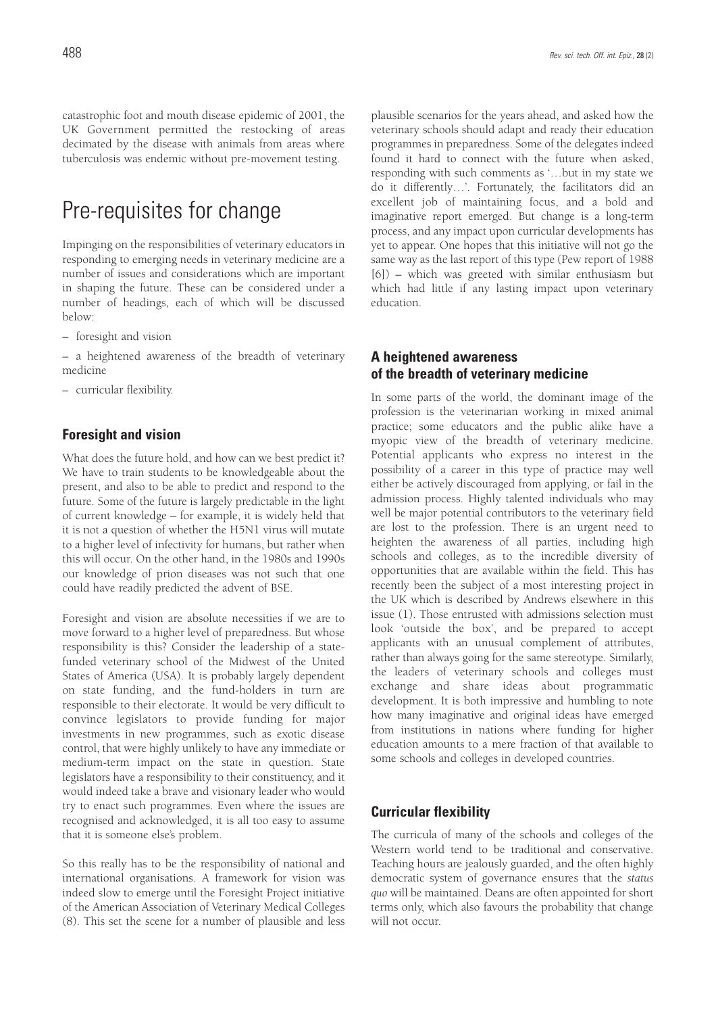catastrophic foot and mouth disease epidemic of 2001, the UK Government permitted the restocking of areas decimated by the disease with animals from areas where tuberculosis was endemic without pre-movement testing.

# Pre-requisites for change

Impinging on the responsibilities of veterinary educators in responding to emerging needs in veterinary medicine are a number of issues and considerations which are important in shaping the future. These can be considered under a number of headings, each of which will be discussed below:

- foresight and vision
- a heightened awareness of the breadth of veterinary medicine
- curricular flexibility.

#### **Foresight and vision**

What does the future hold, and how can we best predict it? We have to train students to be knowledgeable about the present, and also to be able to predict and respond to the future. Some of the future is largely predictable in the light of current knowledge – for example, it is widely held that it is not a question of whether the H5N1 virus will mutate to a higher level of infectivity for humans, but rather when this will occur. On the other hand, in the 1980s and 1990s our knowledge of prion diseases was not such that one could have readily predicted the advent of BSE.

Foresight and vision are absolute necessities if we are to move forward to a higher level of preparedness. But whose responsibility is this? Consider the leadership of a statefunded veterinary school of the Midwest of the United States of America (USA). It is probably largely dependent on state funding, and the fund-holders in turn are responsible to their electorate. It would be very difficult to convince legislators to provide funding for major investments in new programmes, such as exotic disease control, that were highly unlikely to have any immediate or medium-term impact on the state in question. State legislators have a responsibility to their constituency, and it would indeed take a brave and visionary leader who would try to enact such programmes. Even where the issues are recognised and acknowledged, it is all too easy to assume that it is someone else's problem.

So this really has to be the responsibility of national and international organisations. A framework for vision was indeed slow to emerge until the Foresight Project initiative of the American Association of Veterinary Medical Colleges (8). This set the scene for a number of plausible and less

plausible scenarios for the years ahead, and asked how the veterinary schools should adapt and ready their education programmes in preparedness. Some of the delegates indeed found it hard to connect with the future when asked, responding with such comments as '…but in my state we do it differently…'. Fortunately, the facilitators did an excellent job of maintaining focus, and a bold and imaginative report emerged. But change is a long-term process, and any impact upon curricular developments has yet to appear. One hopes that this initiative will not go the same way as the last report of this type (Pew report of 1988 [6]) – which was greeted with similar enthusiasm but which had little if any lasting impact upon veterinary education.

### **A heightened awareness of the breadth of veterinary medicine**

In some parts of the world, the dominant image of the profession is the veterinarian working in mixed animal practice; some educators and the public alike have a myopic view of the breadth of veterinary medicine. Potential applicants who express no interest in the possibility of a career in this type of practice may well either be actively discouraged from applying, or fail in the admission process. Highly talented individuals who may well be major potential contributors to the veterinary field are lost to the profession. There is an urgent need to heighten the awareness of all parties, including high schools and colleges, as to the incredible diversity of opportunities that are available within the field. This has recently been the subject of a most interesting project in the UK which is described by Andrews elsewhere in this issue (1). Those entrusted with admissions selection must look 'outside the box', and be prepared to accept applicants with an unusual complement of attributes, rather than always going for the same stereotype. Similarly, the leaders of veterinary schools and colleges must exchange and share ideas about programmatic development. It is both impressive and humbling to note how many imaginative and original ideas have emerged from institutions in nations where funding for higher education amounts to a mere fraction of that available to some schools and colleges in developed countries.

### **Curricular flexibility**

The curricula of many of the schools and colleges of the Western world tend to be traditional and conservative. Teaching hours are jealously guarded, and the often highly democratic system of governance ensures that the *status quo* will be maintained. Deans are often appointed for short terms only, which also favours the probability that change will not occur.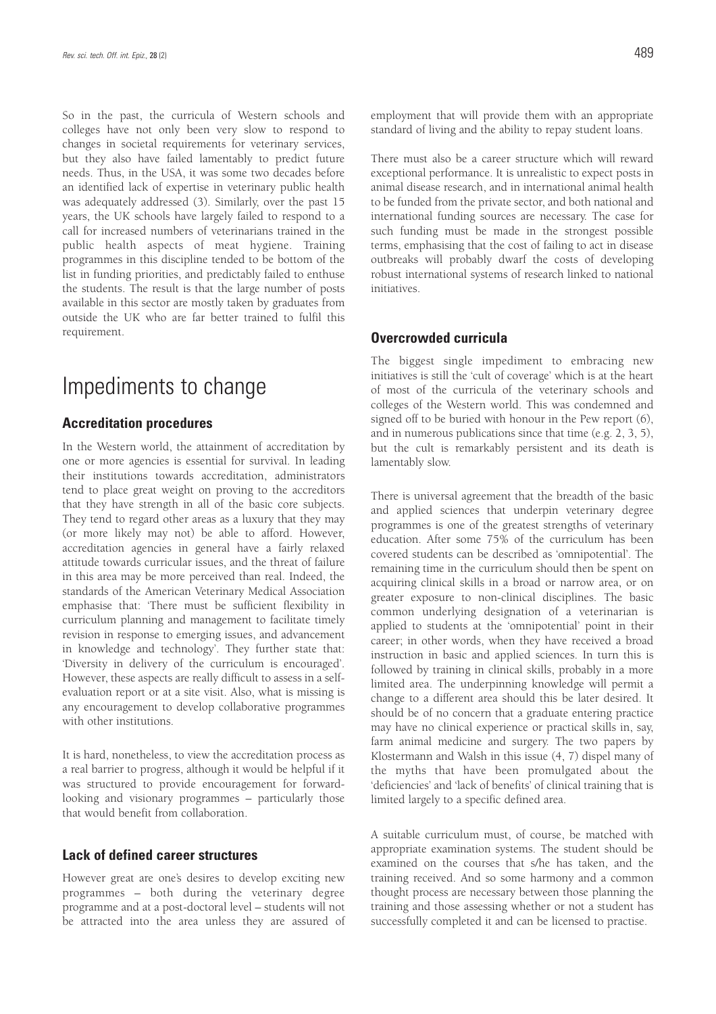So in the past, the curricula of Western schools and colleges have not only been very slow to respond to changes in societal requirements for veterinary services, but they also have failed lamentably to predict future needs. Thus, in the USA, it was some two decades before an identified lack of expertise in veterinary public health was adequately addressed (3). Similarly, over the past 15 years, the UK schools have largely failed to respond to a call for increased numbers of veterinarians trained in the public health aspects of meat hygiene. Training programmes in this discipline tended to be bottom of the list in funding priorities, and predictably failed to enthuse the students. The result is that the large number of posts available in this sector are mostly taken by graduates from outside the UK who are far better trained to fulfil this requirement.

### Impediments to change

### **Accreditation procedures**

In the Western world, the attainment of accreditation by one or more agencies is essential for survival. In leading their institutions towards accreditation, administrators tend to place great weight on proving to the accreditors that they have strength in all of the basic core subjects. They tend to regard other areas as a luxury that they may (or more likely may not) be able to afford. However, accreditation agencies in general have a fairly relaxed attitude towards curricular issues, and the threat of failure in this area may be more perceived than real. Indeed, the standards of the American Veterinary Medical Association emphasise that: 'There must be sufficient flexibility in curriculum planning and management to facilitate timely revision in response to emerging issues, and advancement in knowledge and technology'. They further state that: 'Diversity in delivery of the curriculum is encouraged'. However, these aspects are really difficult to assess in a selfevaluation report or at a site visit. Also, what is missing is any encouragement to develop collaborative programmes with other institutions.

It is hard, nonetheless, to view the accreditation process as a real barrier to progress, although it would be helpful if it was structured to provide encouragement for forwardlooking and visionary programmes – particularly those that would benefit from collaboration.

#### **Lack of defined career structures**

However great are one's desires to develop exciting new programmes – both during the veterinary degree programme and at a post-doctoral level – students will not be attracted into the area unless they are assured of employment that will provide them with an appropriate standard of living and the ability to repay student loans.

There must also be a career structure which will reward exceptional performance. It is unrealistic to expect posts in animal disease research, and in international animal health to be funded from the private sector, and both national and international funding sources are necessary. The case for such funding must be made in the strongest possible terms, emphasising that the cost of failing to act in disease outbreaks will probably dwarf the costs of developing robust international systems of research linked to national initiatives.

### **Overcrowded curricula**

The biggest single impediment to embracing new initiatives is still the 'cult of coverage' which is at the heart of most of the curricula of the veterinary schools and colleges of the Western world. This was condemned and signed off to be buried with honour in the Pew report (6), and in numerous publications since that time (e.g. 2, 3, 5), but the cult is remarkably persistent and its death is lamentably slow.

There is universal agreement that the breadth of the basic and applied sciences that underpin veterinary degree programmes is one of the greatest strengths of veterinary education. After some 75% of the curriculum has been covered students can be described as 'omnipotential'. The remaining time in the curriculum should then be spent on acquiring clinical skills in a broad or narrow area, or on greater exposure to non-clinical disciplines. The basic common underlying designation of a veterinarian is applied to students at the 'omnipotential' point in their career; in other words, when they have received a broad instruction in basic and applied sciences. In turn this is followed by training in clinical skills, probably in a more limited area. The underpinning knowledge will permit a change to a different area should this be later desired. It should be of no concern that a graduate entering practice may have no clinical experience or practical skills in, say, farm animal medicine and surgery. The two papers by Klostermann and Walsh in this issue (4, 7) dispel many of the myths that have been promulgated about the 'deficiencies' and 'lack of benefits' of clinical training that is limited largely to a specific defined area.

A suitable curriculum must, of course, be matched with appropriate examination systems. The student should be examined on the courses that s/he has taken, and the training received. And so some harmony and a common thought process are necessary between those planning the training and those assessing whether or not a student has successfully completed it and can be licensed to practise.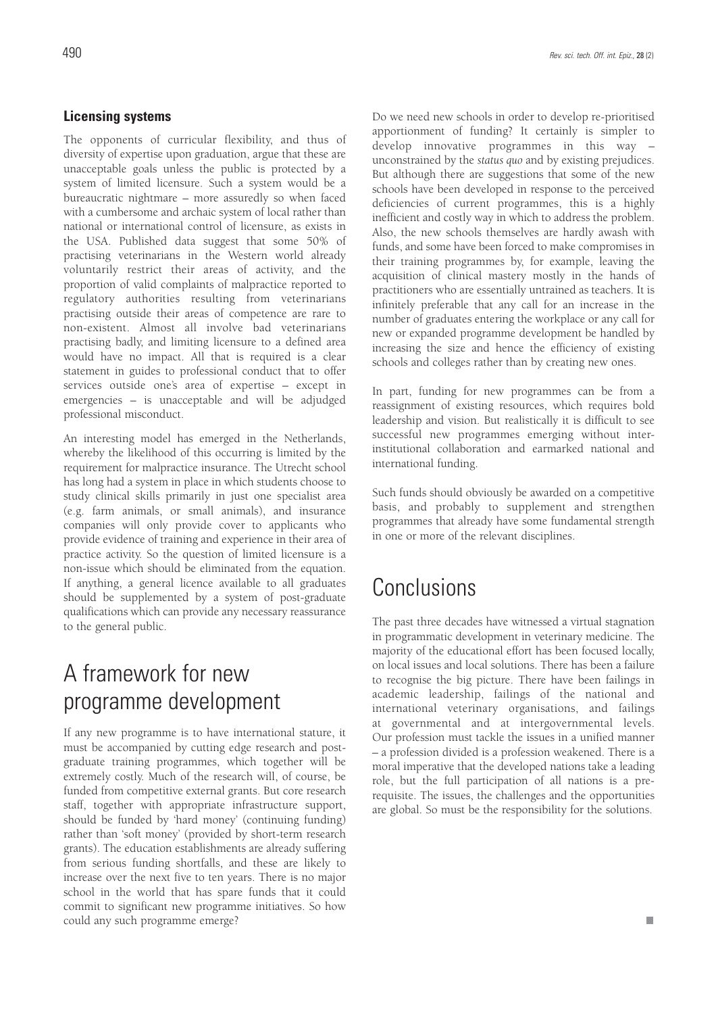### **Licensing systems**

The opponents of curricular flexibility, and thus of diversity of expertise upon graduation, argue that these are unacceptable goals unless the public is protected by a system of limited licensure. Such a system would be a bureaucratic nightmare – more assuredly so when faced with a cumbersome and archaic system of local rather than national or international control of licensure, as exists in the USA. Published data suggest that some 50% of practising veterinarians in the Western world already voluntarily restrict their areas of activity, and the proportion of valid complaints of malpractice reported to regulatory authorities resulting from veterinarians practising outside their areas of competence are rare to non-existent. Almost all involve bad veterinarians practising badly, and limiting licensure to a defined area would have no impact. All that is required is a clear statement in guides to professional conduct that to offer services outside one's area of expertise – except in emergencies – is unacceptable and will be adjudged professional misconduct.

An interesting model has emerged in the Netherlands, whereby the likelihood of this occurring is limited by the requirement for malpractice insurance. The Utrecht school has long had a system in place in which students choose to study clinical skills primarily in just one specialist area (e.g. farm animals, or small animals), and insurance companies will only provide cover to applicants who provide evidence of training and experience in their area of practice activity. So the question of limited licensure is a non-issue which should be eliminated from the equation. If anything, a general licence available to all graduates should be supplemented by a system of post-graduate qualifications which can provide any necessary reassurance to the general public.

# A framework for new programme development

If any new programme is to have international stature, it must be accompanied by cutting edge research and postgraduate training programmes, which together will be extremely costly. Much of the research will, of course, be funded from competitive external grants. But core research staff, together with appropriate infrastructure support, should be funded by 'hard money' (continuing funding) rather than 'soft money' (provided by short-term research grants). The education establishments are already suffering from serious funding shortfalls, and these are likely to increase over the next five to ten years. There is no major school in the world that has spare funds that it could commit to significant new programme initiatives. So how could any such programme emerge?

Do we need new schools in order to develop re-prioritised apportionment of funding? It certainly is simpler to develop innovative programmes in this way – unconstrained by the *status quo* and by existing prejudices. But although there are suggestions that some of the new schools have been developed in response to the perceived deficiencies of current programmes, this is a highly inefficient and costly way in which to address the problem. Also, the new schools themselves are hardly awash with funds, and some have been forced to make compromises in their training programmes by, for example, leaving the acquisition of clinical mastery mostly in the hands of practitioners who are essentially untrained as teachers. It is infinitely preferable that any call for an increase in the number of graduates entering the workplace or any call for new or expanded programme development be handled by increasing the size and hence the efficiency of existing schools and colleges rather than by creating new ones.

In part, funding for new programmes can be from a reassignment of existing resources, which requires bold leadership and vision. But realistically it is difficult to see successful new programmes emerging without interinstitutional collaboration and earmarked national and international funding.

Such funds should obviously be awarded on a competitive basis, and probably to supplement and strengthen programmes that already have some fundamental strength in one or more of the relevant disciplines.

# Conclusions

The past three decades have witnessed a virtual stagnation in programmatic development in veterinary medicine. The majority of the educational effort has been focused locally, on local issues and local solutions. There has been a failure to recognise the big picture. There have been failings in academic leadership, failings of the national and international veterinary organisations, and failings at governmental and at intergovernmental levels. Our profession must tackle the issues in a unified manner – a profession divided is a profession weakened. There is a moral imperative that the developed nations take a leading role, but the full participation of all nations is a prerequisite. The issues, the challenges and the opportunities are global. So must be the responsibility for the solutions.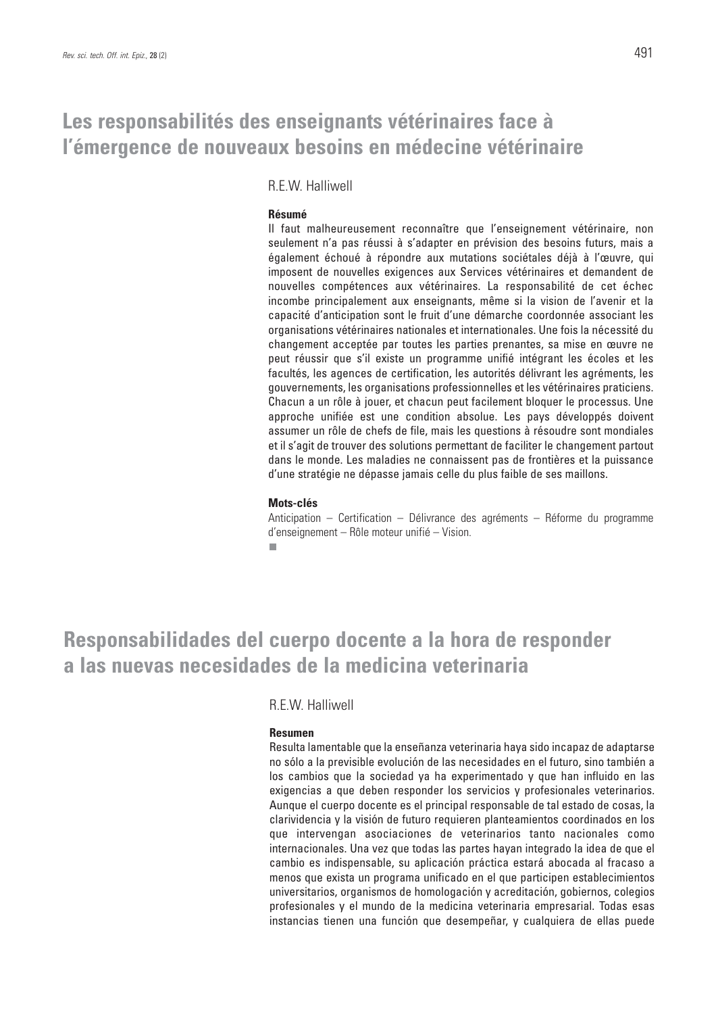# **Les responsabilités des enseignants vétérinaires face à l'émergence de nouveaux besoins en médecine vétérinaire**

R.E.W. Halliwell

#### **Résumé**

Il faut malheureusement reconnaître que l'enseignement vétérinaire, non seulement n'a pas réussi à s'adapter en prévision des besoins futurs, mais a également échoué à répondre aux mutations sociétales déjà à l'œuvre, qui imposent de nouvelles exigences aux Services vétérinaires et demandent de nouvelles compétences aux vétérinaires. La responsabilité de cet échec incombe principalement aux enseignants, même si la vision de l'avenir et la capacité d'anticipation sont le fruit d'une démarche coordonnée associant les organisations vétérinaires nationales et internationales. Une fois la nécessité du changement acceptée par toutes les parties prenantes, sa mise en œuvre ne peut réussir que s'il existe un programme unifié intégrant les écoles et les facultés, les agences de certification, les autorités délivrant les agréments, les gouvernements, les organisations professionnelles et les vétérinaires praticiens. Chacun a un rôle à jouer, et chacun peut facilement bloquer le processus. Une approche unifiée est une condition absolue. Les pays développés doivent assumer un rôle de chefs de file, mais les questions à résoudre sont mondiales et il s'agit de trouver des solutions permettant de faciliter le changement partout dans le monde. Les maladies ne connaissent pas de frontières et la puissance d'une stratégie ne dépasse jamais celle du plus faible de ses maillons.

#### **Mots-clés**

Anticipation – Certification – Délivrance des agréments – Réforme du programme d'enseignement – Rôle moteur unifié – Vision.

п

### **Responsabilidades del cuerpo docente a la hora de responder a las nuevas necesidades de la medicina veterinaria**

R.E.W. Halliwell

#### **Resumen**

Resulta lamentable que la enseñanza veterinaria haya sido incapaz de adaptarse no sólo a la previsible evolución de las necesidades en el futuro, sino también a los cambios que la sociedad ya ha experimentado y que han influido en las exigencias a que deben responder los servicios y profesionales veterinarios. Aunque el cuerpo docente es el principal responsable de tal estado de cosas, la clarividencia y la visión de futuro requieren planteamientos coordinados en los que intervengan asociaciones de veterinarios tanto nacionales como internacionales. Una vez que todas las partes hayan integrado la idea de que el cambio es indispensable, su aplicación práctica estará abocada al fracaso a menos que exista un programa unificado en el que participen establecimientos universitarios, organismos de homologación y acreditación, gobiernos, colegios profesionales y el mundo de la medicina veterinaria empresarial. Todas esas instancias tienen una función que desempeñar, y cualquiera de ellas puede